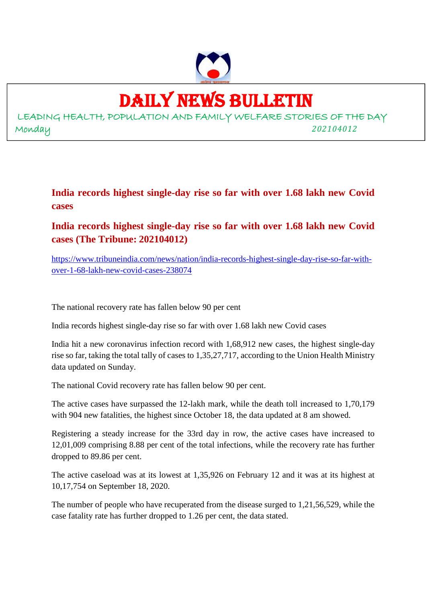

DAILY NEWS BULLETIN

LEADING HEALTH, POPULATION AND FAMILY WELFARE STORIES OF THE DAY Monday *202104012*

**India records highest single-day rise so far with over 1.68 lakh new Covid cases**

**India records highest single-day rise so far with over 1.68 lakh new Covid cases (The Tribune: 202104012)**

https://www.tribuneindia.com/news/nation/india-records-highest-single-day-rise-so-far-withover-1-68-lakh-new-covid-cases-238074

The national recovery rate has fallen below 90 per cent

India records highest single-day rise so far with over 1.68 lakh new Covid cases

India hit a new coronavirus infection record with 1,68,912 new cases, the highest single-day rise so far, taking the total tally of cases to 1,35,27,717, according to the Union Health Ministry data updated on Sunday.

The national Covid recovery rate has fallen below 90 per cent.

The active cases have surpassed the 12-lakh mark, while the death toll increased to 1,70,179 with 904 new fatalities, the highest since October 18, the data updated at 8 am showed.

Registering a steady increase for the 33rd day in row, the active cases have increased to 12,01,009 comprising 8.88 per cent of the total infections, while the recovery rate has further dropped to 89.86 per cent.

The active caseload was at its lowest at 1,35,926 on February 12 and it was at its highest at 10,17,754 on September 18, 2020.

The number of people who have recuperated from the disease surged to 1,21,56,529, while the case fatality rate has further dropped to 1.26 per cent, the data stated.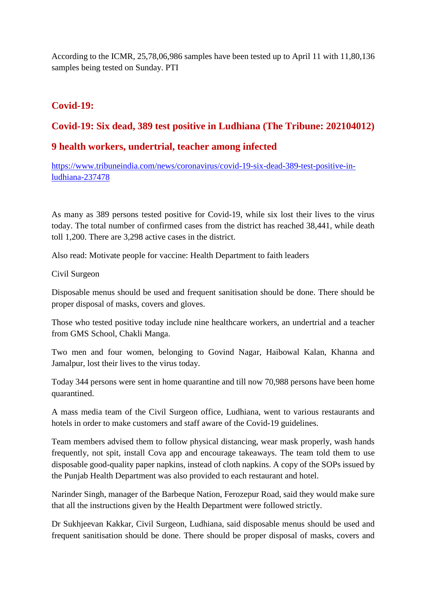According to the ICMR, 25,78,06,986 samples have been tested up to April 11 with 11,80,136 samples being tested on Sunday. PTI

# **Covid-19:**

# **Covid-19: Six dead, 389 test positive in Ludhiana (The Tribune: 202104012)**

## **9 health workers, undertrial, teacher among infected**

https://www.tribuneindia.com/news/coronavirus/covid-19-six-dead-389-test-positive-inludhiana-237478

As many as 389 persons tested positive for Covid-19, while six lost their lives to the virus today. The total number of confirmed cases from the district has reached 38,441, while death toll 1,200. There are 3,298 active cases in the district.

Also read: Motivate people for vaccine: Health Department to faith leaders

Civil Surgeon

Disposable menus should be used and frequent sanitisation should be done. There should be proper disposal of masks, covers and gloves.

Those who tested positive today include nine healthcare workers, an undertrial and a teacher from GMS School, Chakli Manga.

Two men and four women, belonging to Govind Nagar, Haibowal Kalan, Khanna and Jamalpur, lost their lives to the virus today.

Today 344 persons were sent in home quarantine and till now 70,988 persons have been home quarantined.

A mass media team of the Civil Surgeon office, Ludhiana, went to various restaurants and hotels in order to make customers and staff aware of the Covid-19 guidelines.

Team members advised them to follow physical distancing, wear mask properly, wash hands frequently, not spit, install Cova app and encourage takeaways. The team told them to use disposable good-quality paper napkins, instead of cloth napkins. A copy of the SOPs issued by the Punjab Health Department was also provided to each restaurant and hotel.

Narinder Singh, manager of the Barbeque Nation, Ferozepur Road, said they would make sure that all the instructions given by the Health Department were followed strictly.

Dr Sukhjeevan Kakkar, Civil Surgeon, Ludhiana, said disposable menus should be used and frequent sanitisation should be done. There should be proper disposal of masks, covers and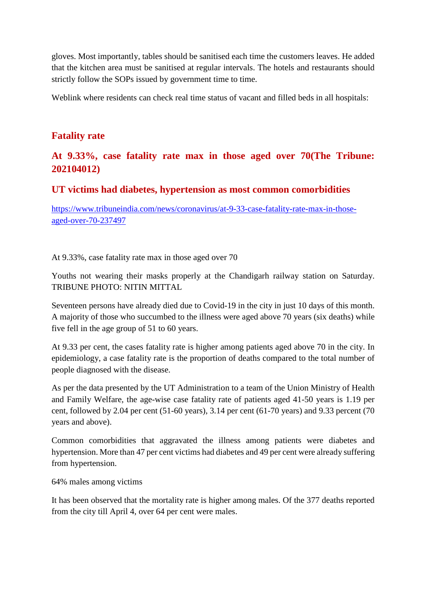gloves. Most importantly, tables should be sanitised each time the customers leaves. He added that the kitchen area must be sanitised at regular intervals. The hotels and restaurants should strictly follow the SOPs issued by government time to time.

Weblink where residents can check real time status of vacant and filled beds in all hospitals:

## **Fatality rate**

# **At 9.33%, case fatality rate max in those aged over 70(The Tribune: 202104012)**

## **UT victims had diabetes, hypertension as most common comorbidities**

https://www.tribuneindia.com/news/coronavirus/at-9-33-case-fatality-rate-max-in-thoseaged-over-70-237497

At 9.33%, case fatality rate max in those aged over 70

Youths not wearing their masks properly at the Chandigarh railway station on Saturday. TRIBUNE PHOTO: NITIN MITTAL

Seventeen persons have already died due to Covid-19 in the city in just 10 days of this month. A majority of those who succumbed to the illness were aged above 70 years (six deaths) while five fell in the age group of 51 to 60 years.

At 9.33 per cent, the cases fatality rate is higher among patients aged above 70 in the city. In epidemiology, a case fatality rate is the proportion of deaths compared to the total number of people diagnosed with the disease.

As per the data presented by the UT Administration to a team of the Union Ministry of Health and Family Welfare, the age-wise case fatality rate of patients aged 41-50 years is 1.19 per cent, followed by 2.04 per cent (51-60 years), 3.14 per cent (61-70 years) and 9.33 percent (70 years and above).

Common comorbidities that aggravated the illness among patients were diabetes and hypertension. More than 47 per cent victims had diabetes and 49 per cent were already suffering from hypertension.

64% males among victims

It has been observed that the mortality rate is higher among males. Of the 377 deaths reported from the city till April 4, over 64 per cent were males.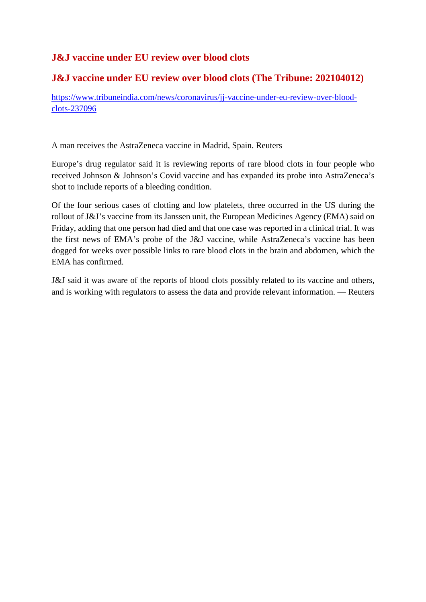# **J&J vaccine under EU review over blood clots**

# **J&J vaccine under EU review over blood clots (The Tribune: 202104012)**

https://www.tribuneindia.com/news/coronavirus/jj-vaccine-under-eu-review-over-bloodclots-237096

A man receives the AstraZeneca vaccine in Madrid, Spain. Reuters

Europe's drug regulator said it is reviewing reports of rare blood clots in four people who received Johnson & Johnson's Covid vaccine and has expanded its probe into AstraZeneca's shot to include reports of a bleeding condition.

Of the four serious cases of clotting and low platelets, three occurred in the US during the rollout of J&J's vaccine from its Janssen unit, the European Medicines Agency (EMA) said on Friday, adding that one person had died and that one case was reported in a clinical trial. It was the first news of EMA's probe of the J&J vaccine, while AstraZeneca's vaccine has been dogged for weeks over possible links to rare blood clots in the brain and abdomen, which the EMA has confirmed.

J&J said it was aware of the reports of blood clots possibly related to its vaccine and others, and is working with regulators to assess the data and provide relevant information. — Reuters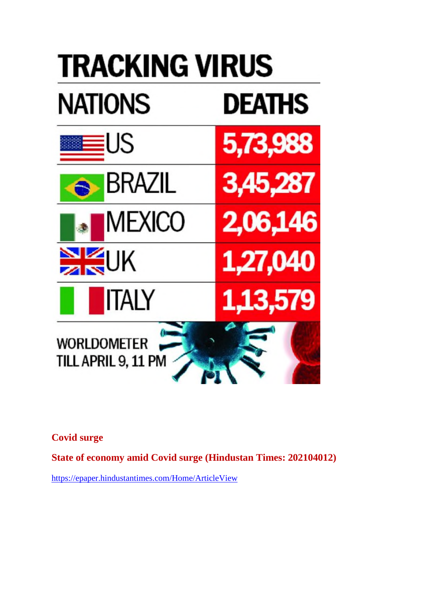# **TRACKING VIRUS NATIONS DEATHS** US 5,73,988 BRAZIL 3,45,287 MEXICO 2,06,146 JK 1,27,040 ITALY ,13,579 **WORLDOMETER** TILL APRIL 9, 11 PM

**Covid surge**

**State of economy amid Covid surge (Hindustan Times: 202104012)**

https://epaper.hindustantimes.com/Home/ArticleView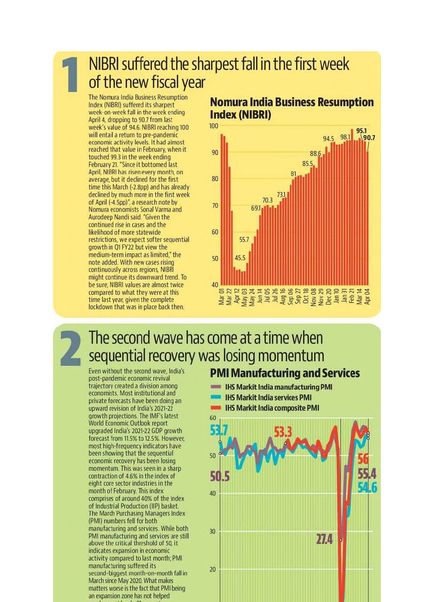NIBRI suffered the sharpest fall in the first week of the new fiscal year

The Nomura India Business Resumption Index (NIBRI) suffered its sharpest week-on-week fall in the week ending April 4, dropping to 90.7 from last week's value of 94.6. NIBRI reaching 100 will entail a return to pre-pandemic economic activity levels. It had almost reached that value in February, when it touched 99.3 in the week ending February 21. "Since it bottomed last April, NIBRI has risen every month, on average, but it declined for the first time this March (-2.8pp) and has already declined by much more in the first week of April (-4.5pp)", a research note by Nomura economists Sonal Varma and Aurodeep Nandi said. "Given the continued rise in cases and the likelihood of more statewide restrictions, we expect softer sequential growth in Q1 FY22 but view the medium-term impact as limited," the note added. With new cases rising continuously across regions, NIBRI might continue its downward trend. To be sure, NIBRI values are almost twice compared to what they were at this time last year, given the complete lockdown that was in place back then.

# **Nomura India Business Resumption Index (NIBRI)**



# The second wave has come at a time when sequential recovery was losing momentum

Even without the second wave, India's post-pandemic economic revival trajectory created a division among economists. Most institutional and private forecasts have been doing an upward revision of India's 2021-22 growth projections. The IMF's latest **World Economic Outlook report** upgraded India's 2021-22 GDP growth forecast from 11.5% to 12.5%. However, most high-frequency indicators have been showing that the sequential economic recovery has been losing momentum. This was seen in a sharp contraction of 4.6% in the index of eight core sector industries in the month of February. This index comprises of around 40% of the Index of Industrial Production (IIP) basket. The March Purchasing Managers Index (PMI) numbers fell for both manufacturing and services. While both PMI manufacturing and services are still above the critical threshold of 50, it indicates expansion in economic activity compared to last month; PMI manufacturing suffered its second-biggest month-on-month fall in March since May 2020. What makes matters worse is the fact that PMI being an expansion zone has not helped

# **PMI Manufacturing and Services**

- **IHS Markit India manufacturing PMI**
- **IHS Markit India services PMI**
- **IHS Markit India composite PMI**

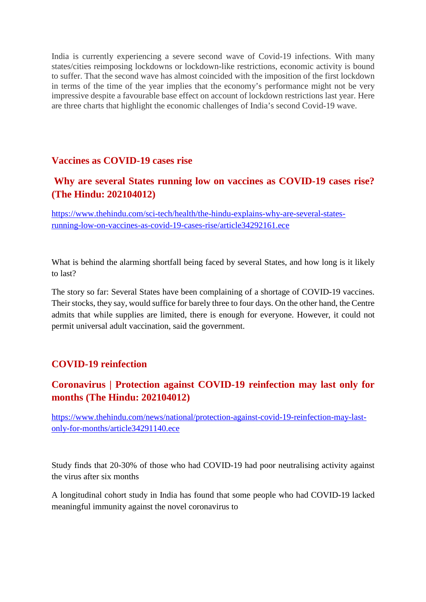India is currently experiencing a severe second wave of Covid-19 infections. With many states/cities reimposing lockdowns or lockdown-like restrictions, economic activity is bound to suffer. That the second wave has almost coincided with the imposition of the first lockdown in terms of the time of the year implies that the economy's performance might not be very impressive despite a favourable base effect on account of lockdown restrictions last year. Here are three charts that highlight the economic challenges of India's second Covid-19 wave.

## **Vaccines as COVID-19 cases rise**

# **Why are several States running low on vaccines as COVID-19 cases rise? (The Hindu: 202104012)**

https://www.thehindu.com/sci-tech/health/the-hindu-explains-why-are-several-statesrunning-low-on-vaccines-as-covid-19-cases-rise/article34292161.ece

What is behind the alarming shortfall being faced by several States, and how long is it likely to last?

The story so far: Several States have been complaining of a shortage of COVID-19 vaccines. Their stocks, they say, would suffice for barely three to four days. On the other hand, the Centre admits that while supplies are limited, there is enough for everyone. However, it could not permit universal adult vaccination, said the government.

# **COVID-19 reinfection**

# **Coronavirus | Protection against COVID-19 reinfection may last only for months (The Hindu: 202104012)**

https://www.thehindu.com/news/national/protection-against-covid-19-reinfection-may-lastonly-for-months/article34291140.ece

Study finds that 20-30% of those who had COVID-19 had poor neutralising activity against the virus after six months

A longitudinal cohort study in India has found that some people who had COVID-19 lacked meaningful immunity against the novel coronavirus to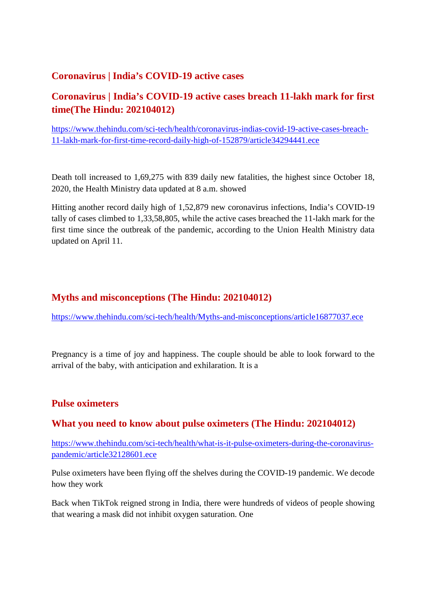# **Coronavirus | India's COVID-19 active cases**

# **Coronavirus | India's COVID-19 active cases breach 11-lakh mark for first time(The Hindu: 202104012)**

https://www.thehindu.com/sci-tech/health/coronavirus-indias-covid-19-active-cases-breach-11-lakh-mark-for-first-time-record-daily-high-of-152879/article34294441.ece

Death toll increased to 1,69,275 with 839 daily new fatalities, the highest since October 18, 2020, the Health Ministry data updated at 8 a.m. showed

Hitting another record daily high of 1,52,879 new coronavirus infections, India's COVID-19 tally of cases climbed to 1,33,58,805, while the active cases breached the 11-lakh mark for the first time since the outbreak of the pandemic, according to the Union Health Ministry data updated on April 11.

# **Myths and misconceptions (The Hindu: 202104012)**

https://www.thehindu.com/sci-tech/health/Myths-and-misconceptions/article16877037.ece

Pregnancy is a time of joy and happiness. The couple should be able to look forward to the arrival of the baby, with anticipation and exhilaration. It is a

# **Pulse oximeters**

# **What you need to know about pulse oximeters (The Hindu: 202104012)**

https://www.thehindu.com/sci-tech/health/what-is-it-pulse-oximeters-during-the-coronaviruspandemic/article32128601.ece

Pulse oximeters have been flying off the shelves during the COVID-19 pandemic. We decode how they work

Back when TikTok reigned strong in India, there were hundreds of videos of people showing that wearing a mask did not inhibit oxygen saturation. One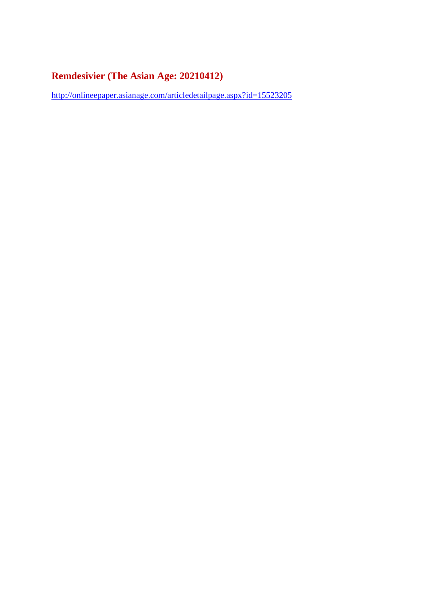# **Remdesivier (The Asian Age: 20210412)**

http://onlineepaper.asianage.com/articledetailpage.aspx?id=15523205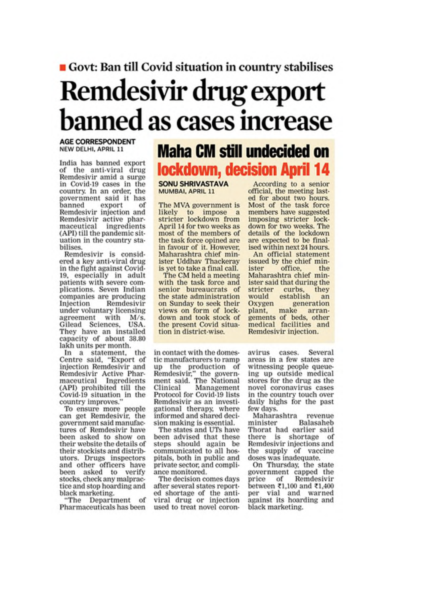# Govt: Ban till Covid situation in country stabilises

# Remdesivir drug export **banned as cases increase**

#### **AGE CORRESPONDENT** NEW DELHI, APRIL 11

India has banned export of the anti-viral drug Remdesivir amid a surge in Covid-19 cases in the country. In an order, the government said it has banned export of Remdesivir injection and Remdesivir active pharmaceutical ingredients (API) till the pandemic situation in the country stabilises.

Remdesivir is considered a key anti-viral drug in the fight against Covid-19, especially in adult patients with severe complications. Seven Indian companies are producing Injection Remdesivir under voluntary licensing agreement with  $M/s$ Gilead Sciences, USA. They have an installed capacity of about 38.80 lakh units per month.

In a statement, the Centre said, "Export of injection Remdesivir and Remdesivir Active Phar-<br>maceutical Ingredients (API) prohibited till the Covid-19 situation in the country improves.'

To ensure more people can get Remdesivir, the government said manufactures of Remdesivir have been asked to show on their website the details of their stockists and distributors. Drugs inspectors and other officers have been asked to verify stocks, check any malpractice and stop hoarding and black marketing.

"The Department of Pharmaceuticals has been

# **Maha CM still undecided on lockdown, decision April 14**

**SONU SHRIVASTAVA** MUMBAI, APRIL 11

The MVA government is likely to impose a<br>stricter lockdown from April 14 for two weeks as most of the members of the task force opined are in favour of it. However, Maharashtra chief minister Uddhav Thackeray is yet to take a final call.

The CM held a meeting with the task force and senior bureaucrats of the state administration on Sunday to seek their views on form of lockdown and took stock of the present Covid situation in district-wise.

in contact with the domestic manufacturers to ramp up the production of Remdesivir," the govern-<br>ment said. The National Clinical Management Protocol for Covid-19 lists Remdesivir as an investigational therapy, where informed and shared decision making is essential.

The states and UTs have been advised that these steps should again be communicated to all hospitals, both in public and private sector, and compliance monitored.

The decision comes days after several states reported shortage of the antiviral drug or injection used to treat novel coron-

According to a senior official, the meeting lasted for about two hours. Most of the task force<br>members have suggested imposing stricter lockdown for two weeks. The details of the lockdown are expected to be finalised within next 24 hours.

An official statement issued by the chief minister office. the Maharashtra chief minister said that during the stricter curbs, they would establish an Oxygen generation plant, make arrangements of beds, other<br>medical facilities and Remdesivir injection.

avirus cases. Several areas in a few states are witnessing people queueing up outside medical stores for the drug as the novel coronavirus cases in the country touch over daily highs for the past few days.

Maharashtra revenue Balasaheb minister Thorat had earlier said there is shortage of Remdesivir injections and the supply of vaccine doses was inadequate.

On Thursday, the state government capped the price of Remdesivir between ₹1,100 and ₹1,400 per vial and warned<br>against its hoarding and black marketing.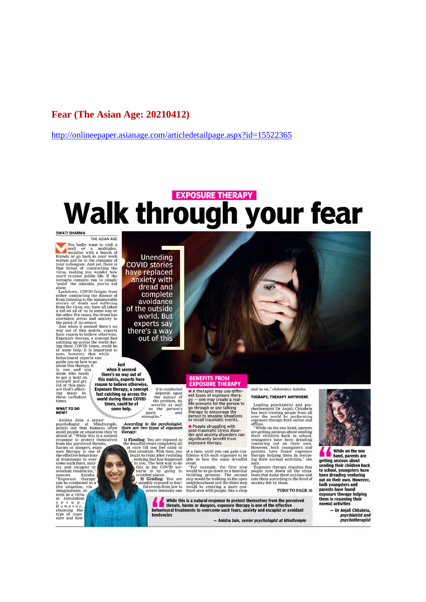### Fear (The Asian Age: 20210412)

http://onlineepaper.asianage.com/articledetailpage.aspx?id=15522365

# **EXPOSURE THERAPY Walk through your fear**

#### **SWATI SHARMA**

THE ASIAN AGE

THE ASIAN AGE<br>
ITHE ASIAN AGE<br>
ISO and the visit and or a multiplex,<br>
friends or go back to your work<br>
station and be in the company of<br>
station and be in the company of<br>
that dread of contracting the<br>
virus, making you wo

alone.<br>Lockdown, COVID fatigue from alone.<br>
Rockdown, COVID fatigue from<br>
Elockdown, COVID fatigue from<br>
elockdown, COVID fatigue fatiguese of<br>
from listening to the innumerable<br>
from listening to the innumerable<br>
from the virus, etc. have all taken<br>
from t

about this therapy,<br>is you and you<br>alone who needs<br>to get a hold on<br>yourself and get<br>rid of this men-<br>ace that's affect-<br>ing many in<br>these turbulent<br>thises

**WHAT TO DO**<br>NOW?

NOW?<br>
Anisha Jain, a senior<br>
points out that humans often<br>
points out that humans often<br>
arbidd poele or situations they're<br>
arbidd of "While this is a natural<br>
response to protect themselves<br>
harms or dangers, exponent<br>
f magnations of<br>even in a virtu-<br>al simulation<br>set up.<br>However,<br>choosing the<br>type of expo-<br>sure and how

**Unending COVID stories** have replaced anxiety with<br>dread and complete avoidance of the outside world. But experts say there's a way out of this

lust when it seemed there's no way out of<br>this matrix, experts have<br>reason to believe otherwise. it is conducted<br>depends upon<br>the nature of<br>the problem, its<br>as the person's **Exposure therapy, a concept** Exposure therapy, a concept<br>fast catching up across the<br>world during these COVID<br>times, could be of

some help. goals strengths."

# According to the psychologist,<br>there are two types of exposure<br>therapy:

1) Flooding: You are exposed to the dreadful event completely all at once till you feel calm in the that situation. With time, you begin to relax after realising to you. The best way to do hario is by going to reverse con

nario<br>
crowded places.<br>
2) Grading: You are<br>
steadily exposed to fear-<br>
ful events from low to<br>
accord intensity one

A therapist may use different types of exposure therapy – one may create a real-<br>life scenario for the person to<br>go through or use talking<br>therapy to encourage the<br>therapy to encourage the<br>present to impoine situations and person to imagine situations<br>or recall traumatic events. • People struggling with

Post-traumatic stress disor-<br>der and anxiety disorders can<br>significantly benefit from<br>exposure therapy.

at a time, until you can gain con-<br>fidence with each exposure to be<br>able to face the main dreadful

able to face the main dreadful event.<br>
"For example, the first step<br>
"For example" would be to go down to a familiar<br>
building premise. The second<br>
step would be walking in the open<br>
neighbourhood and the third step<br>
woul

While this is a natural response to protect themselves from the perceived<br>threats, harms or dangers, exposure therapy is one of the effective<br>behavioural treatments to overcome such fears, anxiety and escapist or avoidant tendencies

- Anisha Jain, senior psychologist at Mindtemple

#### and so on," elaborates Anisha. THERAPY, THERAPY ANYWHERE

Leading psychiatrist and psychotherapist Dr Anjali Chhabria<br>has been treating people from all<br>over the world by performing<br>exposure therapy both online and

exposure therapy both online and<br>orgine. "While on the one hand, parents<br>are getting anxious about sending<br>their children back to school,<br>youngsters have been dreading<br>venturing out on their own.<br>However, both youngsters a

says.<br>Exposure therapy requires that<br>people note down all the situa-<br>tions that make them anxious and rate them according to the level of<br>anxiety felt by them.

#### TURN TO PAGE 10

pour youngsters and<br>parents have found<br>exposure therapy helping<br>them in resuming their normal activities

- Dr Anjali Chhabria, psychiatrist and<br>psychotherapist

While on the one hand, parents are getting anxious about ending their children back to school, youngsters have been dreading venturing<br>been dreading venturing<br>out on their own. However,<br>both youngsters and

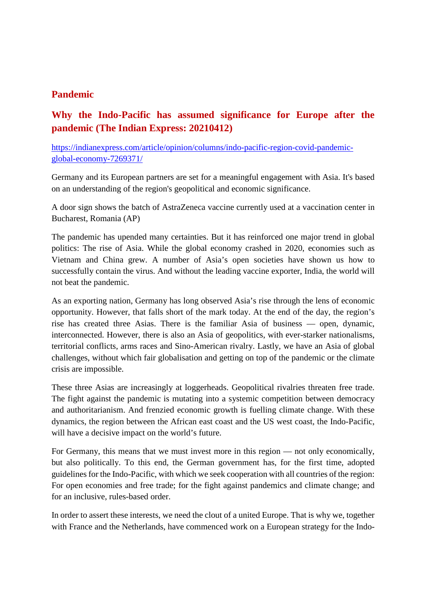## **Pandemic**

# **Why the Indo-Pacific has assumed significance for Europe after the pandemic (The Indian Express: 20210412)**

https://indianexpress.com/article/opinion/columns/indo-pacific-region-covid-pandemicglobal-economy-7269371/

Germany and its European partners are set for a meaningful engagement with Asia. It's based on an understanding of the region's geopolitical and economic significance.

A door sign shows the batch of AstraZeneca vaccine currently used at a vaccination center in Bucharest, Romania (AP)

The pandemic has upended many certainties. But it has reinforced one major trend in global politics: The rise of Asia. While the global economy crashed in 2020, economies such as Vietnam and China grew. A number of Asia's open societies have shown us how to successfully contain the virus. And without the leading vaccine exporter, India, the world will not beat the pandemic.

As an exporting nation, Germany has long observed Asia's rise through the lens of economic opportunity. However, that falls short of the mark today. At the end of the day, the region's rise has created three Asias. There is the familiar Asia of business — open, dynamic, interconnected. However, there is also an Asia of geopolitics, with ever-starker nationalisms, territorial conflicts, arms races and Sino-American rivalry. Lastly, we have an Asia of global challenges, without which fair globalisation and getting on top of the pandemic or the climate crisis are impossible.

These three Asias are increasingly at loggerheads. Geopolitical rivalries threaten free trade. The fight against the pandemic is mutating into a systemic competition between democracy and authoritarianism. And frenzied economic growth is fuelling climate change. With these dynamics, the region between the African east coast and the US west coast, the Indo-Pacific, will have a decisive impact on the world's future.

For Germany, this means that we must invest more in this region — not only economically, but also politically. To this end, the German government has, for the first time, adopted guidelines for the Indo-Pacific, with which we seek cooperation with all countries of the region: For open economies and free trade; for the fight against pandemics and climate change; and for an inclusive, rules-based order.

In order to assert these interests, we need the clout of a united Europe. That is why we, together with France and the Netherlands, have commenced work on a European strategy for the Indo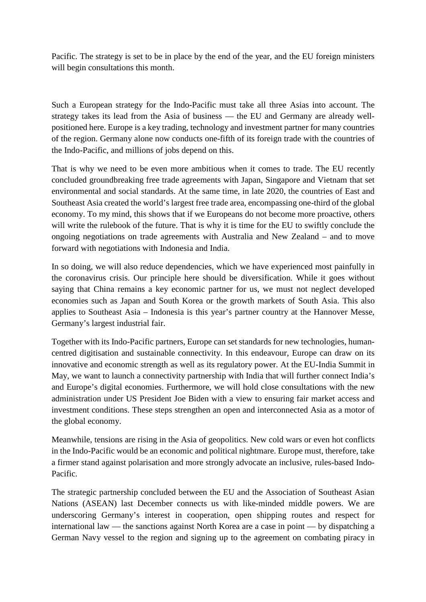Pacific. The strategy is set to be in place by the end of the year, and the EU foreign ministers will begin consultations this month.

Such a European strategy for the Indo-Pacific must take all three Asias into account. The strategy takes its lead from the Asia of business — the EU and Germany are already wellpositioned here. Europe is a key trading, technology and investment partner for many countries of the region. Germany alone now conducts one-fifth of its foreign trade with the countries of the Indo-Pacific, and millions of jobs depend on this.

That is why we need to be even more ambitious when it comes to trade. The EU recently concluded groundbreaking free trade agreements with Japan, Singapore and Vietnam that set environmental and social standards. At the same time, in late 2020, the countries of East and Southeast Asia created the world's largest free trade area, encompassing one-third of the global economy. To my mind, this shows that if we Europeans do not become more proactive, others will write the rulebook of the future. That is why it is time for the EU to swiftly conclude the ongoing negotiations on trade agreements with Australia and New Zealand – and to move forward with negotiations with Indonesia and India.

In so doing, we will also reduce dependencies, which we have experienced most painfully in the coronavirus crisis. Our principle here should be diversification. While it goes without saying that China remains a key economic partner for us, we must not neglect developed economies such as Japan and South Korea or the growth markets of South Asia. This also applies to Southeast Asia – Indonesia is this year's partner country at the Hannover Messe, Germany's largest industrial fair.

Together with its Indo-Pacific partners, Europe can set standards for new technologies, humancentred digitisation and sustainable connectivity. In this endeavour, Europe can draw on its innovative and economic strength as well as its regulatory power. At the EU-India Summit in May, we want to launch a connectivity partnership with India that will further connect India's and Europe's digital economies. Furthermore, we will hold close consultations with the new administration under US President Joe Biden with a view to ensuring fair market access and investment conditions. These steps strengthen an open and interconnected Asia as a motor of the global economy.

Meanwhile, tensions are rising in the Asia of geopolitics. New cold wars or even hot conflicts in the Indo-Pacific would be an economic and political nightmare. Europe must, therefore, take a firmer stand against polarisation and more strongly advocate an inclusive, rules-based Indo-Pacific.

The strategic partnership concluded between the EU and the Association of Southeast Asian Nations (ASEAN) last December connects us with like-minded middle powers. We are underscoring Germany's interest in cooperation, open shipping routes and respect for international law — the sanctions against North Korea are a case in point — by dispatching a German Navy vessel to the region and signing up to the agreement on combating piracy in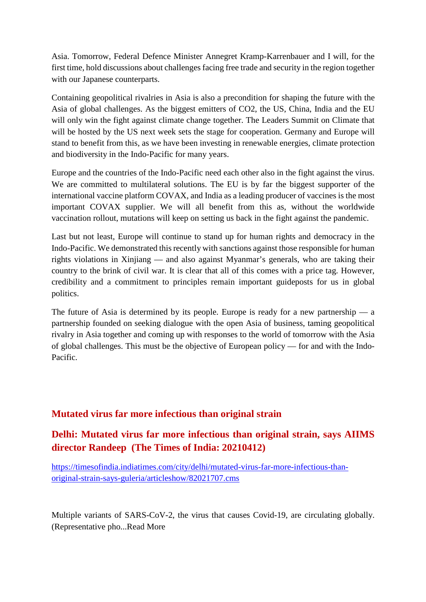Asia. Tomorrow, Federal Defence Minister Annegret Kramp-Karrenbauer and I will, for the first time, hold discussions about challenges facing free trade and security in the region together with our Japanese counterparts.

Containing geopolitical rivalries in Asia is also a precondition for shaping the future with the Asia of global challenges. As the biggest emitters of CO2, the US, China, India and the EU will only win the fight against climate change together. The Leaders Summit on Climate that will be hosted by the US next week sets the stage for cooperation. Germany and Europe will stand to benefit from this, as we have been investing in renewable energies, climate protection and biodiversity in the Indo-Pacific for many years.

Europe and the countries of the Indo-Pacific need each other also in the fight against the virus. We are committed to multilateral solutions. The EU is by far the biggest supporter of the international vaccine platform COVAX, and India as a leading producer of vaccines is the most important COVAX supplier. We will all benefit from this as, without the worldwide vaccination rollout, mutations will keep on setting us back in the fight against the pandemic.

Last but not least, Europe will continue to stand up for human rights and democracy in the Indo-Pacific. We demonstrated this recently with sanctions against those responsible for human rights violations in Xinjiang — and also against Myanmar's generals, who are taking their country to the brink of civil war. It is clear that all of this comes with a price tag. However, credibility and a commitment to principles remain important guideposts for us in global politics.

The future of Asia is determined by its people. Europe is ready for a new partnership  $-$  a partnership founded on seeking dialogue with the open Asia of business, taming geopolitical rivalry in Asia together and coming up with responses to the world of tomorrow with the Asia of global challenges. This must be the objective of European policy — for and with the Indo-Pacific.

# **Mutated virus far more infectious than original strain**

# **Delhi: Mutated virus far more infectious than original strain, says AIIMS director Randeep (The Times of India: 20210412)**

https://timesofindia.indiatimes.com/city/delhi/mutated-virus-far-more-infectious-thanoriginal-strain-says-guleria/articleshow/82021707.cms

Multiple variants of SARS-CoV-2, the virus that causes Covid-19, are circulating globally. (Representative pho...Read More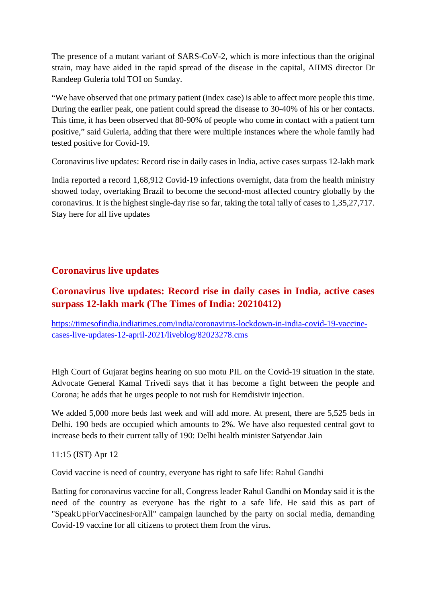The presence of a mutant variant of SARS-CoV-2, which is more infectious than the original strain, may have aided in the rapid spread of the disease in the capital, AIIMS director Dr Randeep Guleria told TOI on Sunday.

"We have observed that one primary patient (index case) is able to affect more people this time. During the earlier peak, one patient could spread the disease to 30-40% of his or her contacts. This time, it has been observed that 80-90% of people who come in contact with a patient turn positive," said Guleria, adding that there were multiple instances where the whole family had tested positive for Covid-19.

Coronavirus live updates: Record rise in daily cases in India, active cases surpass 12-lakh mark

India reported a record 1,68,912 Covid-19 infections overnight, data from the health ministry showed today, overtaking Brazil to become the second-most affected country globally by the coronavirus. It is the highest single-day rise so far, taking the total tally of cases to 1,35,27,717. Stay here for all live updates

# **Coronavirus live updates**

# **Coronavirus live updates: Record rise in daily cases in India, active cases surpass 12-lakh mark (The Times of India: 20210412)**

https://timesofindia.indiatimes.com/india/coronavirus-lockdown-in-india-covid-19-vaccinecases-live-updates-12-april-2021/liveblog/82023278.cms

High Court of Gujarat begins hearing on suo motu PIL on the Covid-19 situation in the state. Advocate General Kamal Trivedi says that it has become a fight between the people and Corona; he adds that he urges people to not rush for Remdisivir injection.

We added 5,000 more beds last week and will add more. At present, there are 5,525 beds in Delhi. 190 beds are occupied which amounts to 2%. We have also requested central govt to increase beds to their current tally of 190: Delhi health minister Satyendar Jain

11:15 (IST) Apr 12

Covid vaccine is need of country, everyone has right to safe life: Rahul Gandhi

Batting for coronavirus vaccine for all, Congress leader Rahul Gandhi on Monday said it is the need of the country as everyone has the right to a safe life. He said this as part of "SpeakUpForVaccinesForAll" campaign launched by the party on social media, demanding Covid-19 vaccine for all citizens to protect them from the virus.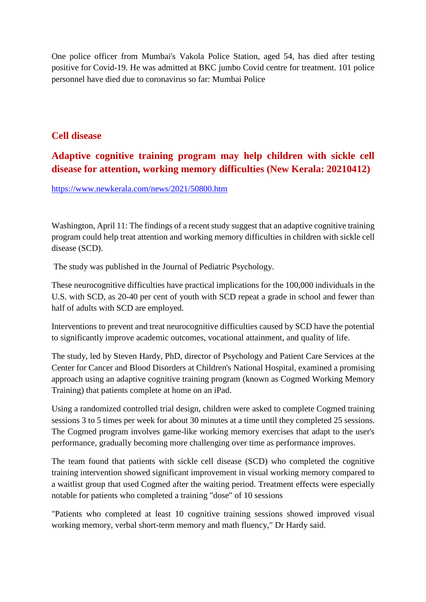One police officer from Mumbai's Vakola Police Station, aged 54, has died after testing positive for Covid-19. He was admitted at BKC jumbo Covid centre for treatment. 101 police personnel have died due to coronavirus so far: Mumbai Police

## **Cell disease**

# **Adaptive cognitive training program may help children with sickle cell disease for attention, working memory difficulties (New Kerala: 20210412)**

https://www.newkerala.com/news/2021/50800.htm

Washington, April 11: The findings of a recent study suggest that an adaptive cognitive training program could help treat attention and working memory difficulties in children with sickle cell disease (SCD).

The study was published in the Journal of Pediatric Psychology.

These neurocognitive difficulties have practical implications for the 100,000 individuals in the U.S. with SCD, as 20-40 per cent of youth with SCD repeat a grade in school and fewer than half of adults with SCD are employed.

Interventions to prevent and treat neurocognitive difficulties caused by SCD have the potential to significantly improve academic outcomes, vocational attainment, and quality of life.

The study, led by Steven Hardy, PhD, director of Psychology and Patient Care Services at the Center for Cancer and Blood Disorders at Children's National Hospital, examined a promising approach using an adaptive cognitive training program (known as Cogmed Working Memory Training) that patients complete at home on an iPad.

Using a randomized controlled trial design, children were asked to complete Cogmed training sessions 3 to 5 times per week for about 30 minutes at a time until they completed 25 sessions. The Cogmed program involves game-like working memory exercises that adapt to the user's performance, gradually becoming more challenging over time as performance improves.

The team found that patients with sickle cell disease (SCD) who completed the cognitive training intervention showed significant improvement in visual working memory compared to a waitlist group that used Cogmed after the waiting period. Treatment effects were especially notable for patients who completed a training "dose" of 10 sessions

"Patients who completed at least 10 cognitive training sessions showed improved visual working memory, verbal short-term memory and math fluency," Dr Hardy said.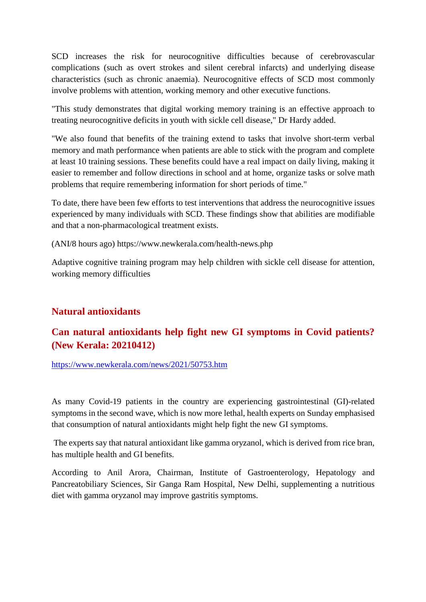SCD increases the risk for neurocognitive difficulties because of cerebrovascular complications (such as overt strokes and silent cerebral infarcts) and underlying disease characteristics (such as chronic anaemia). Neurocognitive effects of SCD most commonly involve problems with attention, working memory and other executive functions.

"This study demonstrates that digital working memory training is an effective approach to treating neurocognitive deficits in youth with sickle cell disease," Dr Hardy added.

"We also found that benefits of the training extend to tasks that involve short-term verbal memory and math performance when patients are able to stick with the program and complete at least 10 training sessions. These benefits could have a real impact on daily living, making it easier to remember and follow directions in school and at home, organize tasks or solve math problems that require remembering information for short periods of time."

To date, there have been few efforts to test interventions that address the neurocognitive issues experienced by many individuals with SCD. These findings show that abilities are modifiable and that a non-pharmacological treatment exists.

(ANI/8 hours ago) https://www.newkerala.com/health-news.php

Adaptive cognitive training program may help children with sickle cell disease for attention, working memory difficulties

# **Natural antioxidants**

# **Can natural antioxidants help fight new GI symptoms in Covid patients? (New Kerala: 20210412)**

https://www.newkerala.com/news/2021/50753.htm

As many Covid-19 patients in the country are experiencing gastrointestinal (GI)-related symptoms in the second wave, which is now more lethal, health experts on Sunday emphasised that consumption of natural antioxidants might help fight the new GI symptoms.

The experts say that natural antioxidant like gamma oryzanol, which is derived from rice bran, has multiple health and GI benefits.

According to Anil Arora, Chairman, Institute of Gastroenterology, Hepatology and Pancreatobiliary Sciences, Sir Ganga Ram Hospital, New Delhi, supplementing a nutritious diet with gamma oryzanol may improve gastritis symptoms.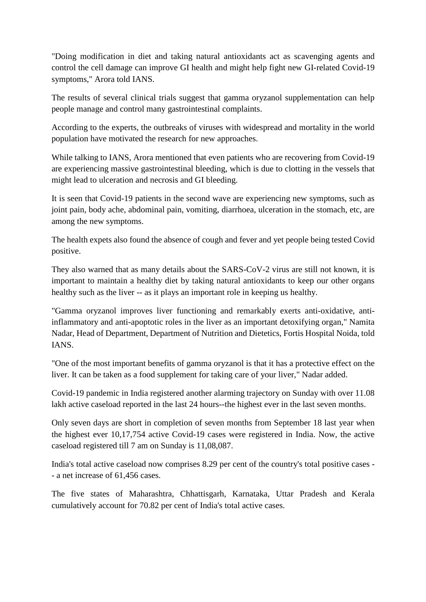"Doing modification in diet and taking natural antioxidants act as scavenging agents and control the cell damage can improve GI health and might help fight new GI-related Covid-19 symptoms," Arora told IANS.

The results of several clinical trials suggest that gamma oryzanol supplementation can help people manage and control many gastrointestinal complaints.

According to the experts, the outbreaks of viruses with widespread and mortality in the world population have motivated the research for new approaches.

While talking to IANS, Arora mentioned that even patients who are recovering from Covid-19 are experiencing massive gastrointestinal bleeding, which is due to clotting in the vessels that might lead to ulceration and necrosis and GI bleeding.

It is seen that Covid-19 patients in the second wave are experiencing new symptoms, such as joint pain, body ache, abdominal pain, vomiting, diarrhoea, ulceration in the stomach, etc, are among the new symptoms.

The health expets also found the absence of cough and fever and yet people being tested Covid positive.

They also warned that as many details about the SARS-CoV-2 virus are still not known, it is important to maintain a healthy diet by taking natural antioxidants to keep our other organs healthy such as the liver -- as it plays an important role in keeping us healthy.

"Gamma oryzanol improves liver functioning and remarkably exerts anti-oxidative, antiinflammatory and anti-apoptotic roles in the liver as an important detoxifying organ," Namita Nadar, Head of Department, Department of Nutrition and Dietetics, Fortis Hospital Noida, told IANS.

"One of the most important benefits of gamma oryzanol is that it has a protective effect on the liver. It can be taken as a food supplement for taking care of your liver," Nadar added.

Covid-19 pandemic in India registered another alarming trajectory on Sunday with over 11.08 lakh active caseload reported in the last 24 hours--the highest ever in the last seven months.

Only seven days are short in completion of seven months from September 18 last year when the highest ever 10,17,754 active Covid-19 cases were registered in India. Now, the active caseload registered till 7 am on Sunday is 11,08,087.

India's total active caseload now comprises 8.29 per cent of the country's total positive cases - - a net increase of 61,456 cases.

The five states of Maharashtra, Chhattisgarh, Karnataka, Uttar Pradesh and Kerala cumulatively account for 70.82 per cent of India's total active cases.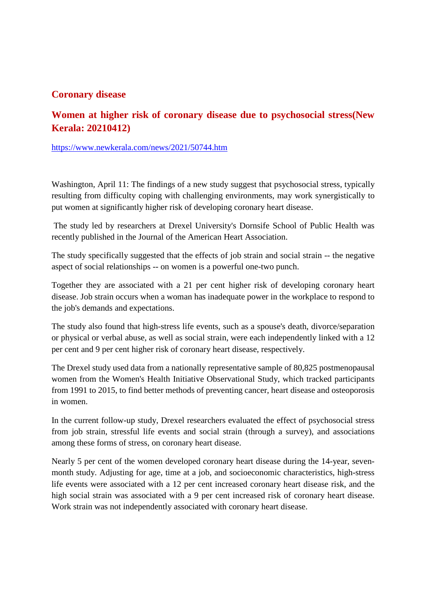## **Coronary disease**

# **Women at higher risk of coronary disease due to psychosocial stress(New Kerala: 20210412)**

https://www.newkerala.com/news/2021/50744.htm

Washington, April 11: The findings of a new study suggest that psychosocial stress, typically resulting from difficulty coping with challenging environments, may work synergistically to put women at significantly higher risk of developing coronary heart disease.

The study led by researchers at Drexel University's Dornsife School of Public Health was recently published in the Journal of the American Heart Association.

The study specifically suggested that the effects of job strain and social strain -- the negative aspect of social relationships -- on women is a powerful one-two punch.

Together they are associated with a 21 per cent higher risk of developing coronary heart disease. Job strain occurs when a woman has inadequate power in the workplace to respond to the job's demands and expectations.

The study also found that high-stress life events, such as a spouse's death, divorce/separation or physical or verbal abuse, as well as social strain, were each independently linked with a 12 per cent and 9 per cent higher risk of coronary heart disease, respectively.

The Drexel study used data from a nationally representative sample of 80,825 postmenopausal women from the Women's Health Initiative Observational Study, which tracked participants from 1991 to 2015, to find better methods of preventing cancer, heart disease and osteoporosis in women.

In the current follow-up study, Drexel researchers evaluated the effect of psychosocial stress from job strain, stressful life events and social strain (through a survey), and associations among these forms of stress, on coronary heart disease.

Nearly 5 per cent of the women developed coronary heart disease during the 14-year, sevenmonth study. Adjusting for age, time at a job, and socioeconomic characteristics, high-stress life events were associated with a 12 per cent increased coronary heart disease risk, and the high social strain was associated with a 9 per cent increased risk of coronary heart disease. Work strain was not independently associated with coronary heart disease.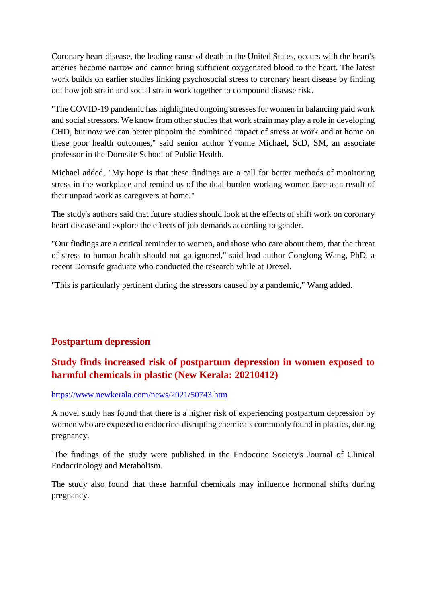Coronary heart disease, the leading cause of death in the United States, occurs with the heart's arteries become narrow and cannot bring sufficient oxygenated blood to the heart. The latest work builds on earlier studies linking psychosocial stress to coronary heart disease by finding out how job strain and social strain work together to compound disease risk.

"The COVID-19 pandemic has highlighted ongoing stresses for women in balancing paid work and social stressors. We know from other studies that work strain may play a role in developing CHD, but now we can better pinpoint the combined impact of stress at work and at home on these poor health outcomes," said senior author Yvonne Michael, ScD, SM, an associate professor in the Dornsife School of Public Health.

Michael added, "My hope is that these findings are a call for better methods of monitoring stress in the workplace and remind us of the dual-burden working women face as a result of their unpaid work as caregivers at home."

The study's authors said that future studies should look at the effects of shift work on coronary heart disease and explore the effects of job demands according to gender.

"Our findings are a critical reminder to women, and those who care about them, that the threat of stress to human health should not go ignored," said lead author Conglong Wang, PhD, a recent Dornsife graduate who conducted the research while at Drexel.

"This is particularly pertinent during the stressors caused by a pandemic," Wang added.

# **Postpartum depression**

# **Study finds increased risk of postpartum depression in women exposed to harmful chemicals in plastic (New Kerala: 20210412)**

### https://www.newkerala.com/news/2021/50743.htm

A novel study has found that there is a higher risk of experiencing postpartum depression by women who are exposed to endocrine-disrupting chemicals commonly found in plastics, during pregnancy.

The findings of the study were published in the Endocrine Society's Journal of Clinical Endocrinology and Metabolism.

The study also found that these harmful chemicals may influence hormonal shifts during pregnancy.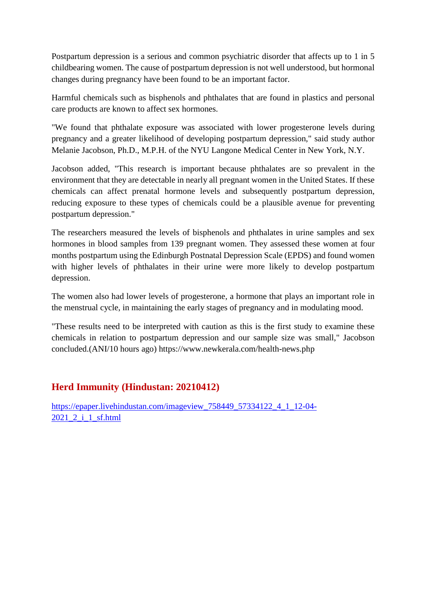Postpartum depression is a serious and common psychiatric disorder that affects up to 1 in 5 childbearing women. The cause of postpartum depression is not well understood, but hormonal changes during pregnancy have been found to be an important factor.

Harmful chemicals such as bisphenols and phthalates that are found in plastics and personal care products are known to affect sex hormones.

"We found that phthalate exposure was associated with lower progesterone levels during pregnancy and a greater likelihood of developing postpartum depression," said study author Melanie Jacobson, Ph.D., M.P.H. of the NYU Langone Medical Center in New York, N.Y.

Jacobson added, "This research is important because phthalates are so prevalent in the environment that they are detectable in nearly all pregnant women in the United States. If these chemicals can affect prenatal hormone levels and subsequently postpartum depression, reducing exposure to these types of chemicals could be a plausible avenue for preventing postpartum depression."

The researchers measured the levels of bisphenols and phthalates in urine samples and sex hormones in blood samples from 139 pregnant women. They assessed these women at four months postpartum using the Edinburgh Postnatal Depression Scale (EPDS) and found women with higher levels of phthalates in their urine were more likely to develop postpartum depression.

The women also had lower levels of progesterone, a hormone that plays an important role in the menstrual cycle, in maintaining the early stages of pregnancy and in modulating mood.

"These results need to be interpreted with caution as this is the first study to examine these chemicals in relation to postpartum depression and our sample size was small," Jacobson concluded.(ANI/10 hours ago) https://www.newkerala.com/health-news.php

# **Herd Immunity (Hindustan: 20210412)**

https://epaper.livehindustan.com/imageview\_758449\_57334122\_4\_1\_12-04- 2021 2<sup>1</sup>\_1\_sf.html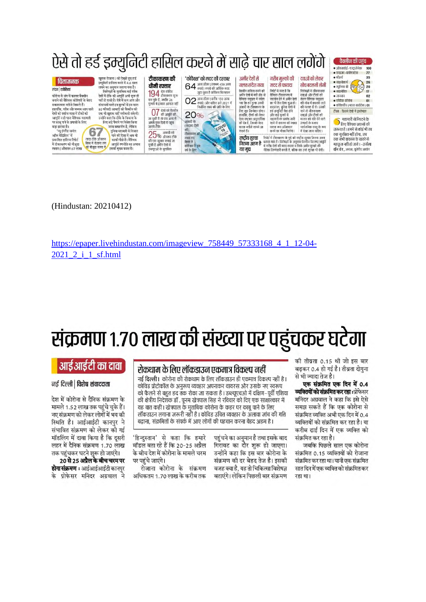|                                                                                                                                                                                                                                                                                                                               |                                                                                                                                                                                                                                                                                                                                                                                                                                                  |                                                                                                                                                                                                  | ऐसे तो हर्ड इम्युनिटी हासिल करने में साढ़े चार साल लगेंगे                                                                                                                                                       |                                                                                                                                                                                                                                                                                                                                                                                                                                                                                                                                                                                                                                    |                                                                                                                                                                                                                                                                                                 |                                                                                                                                                                                                                                                                                                                     | वैक्सीन की पहुंच<br>• ऑक्सफोर्ड-एस्टाजेनेका<br>100<br>● फाइजर-बायोएनटेक<br>77                                          |
|-------------------------------------------------------------------------------------------------------------------------------------------------------------------------------------------------------------------------------------------------------------------------------------------------------------------------------|--------------------------------------------------------------------------------------------------------------------------------------------------------------------------------------------------------------------------------------------------------------------------------------------------------------------------------------------------------------------------------------------------------------------------------------------------|--------------------------------------------------------------------------------------------------------------------------------------------------------------------------------------------------|-----------------------------------------------------------------------------------------------------------------------------------------------------------------------------------------------------------------|------------------------------------------------------------------------------------------------------------------------------------------------------------------------------------------------------------------------------------------------------------------------------------------------------------------------------------------------------------------------------------------------------------------------------------------------------------------------------------------------------------------------------------------------------------------------------------------------------------------------------------|-------------------------------------------------------------------------------------------------------------------------------------------------------------------------------------------------------------------------------------------------------------------------------------------------|---------------------------------------------------------------------------------------------------------------------------------------------------------------------------------------------------------------------------------------------------------------------------------------------------------------------|------------------------------------------------------------------------------------------------------------------------|
| चिंताजनक<br>लंदन एजेरिया<br>कोरोना से जंग में कारगर वैकसीन<br>बनाने की वैश्विक कोशिशों के बेहद<br>सकारात्मक नतीजे निकले हैं।<br>हालांकि, गरीब और मध्यम आय वाले<br>देशों को पर्याप्त मात्रा में टीकों की<br>आपूर्ति न हो पाना वैश्विक महामारी<br>पर काब पाने के प्रयासों के लिए<br>बड़ा झटका है।<br>67<br>'न्यू इंग्लैंड जर्नल | खराक रोजाना ) को देखते हुए हुई<br>इम्युनिटी हासिल करने में 4.6 साल<br>लगने का अनमान जताया गया है।<br>विशेषज्ञों के मुताबिक कई गरीब<br>देशों में टोके को आपति अभी शुरू ही<br>नहीं हो सकी है। ऐसे में कम आय और<br>संसाधनों वाले इन मुल्कों में इस साल<br>80 फीसदी आबादी को चैक्सीन की<br>एक भी खुराक नहीं नसीब हो सकेगी।<br>उन्होंने कहा कि टीके के विकास के<br>लिए बड़े पैमाने पर निवेश किया<br>जाना सराहनीय है, लेकिन<br>दुनिया महामारी से निजात | टीकाकरण की<br>धीमी रफ्तार<br>$194$ देश कोविड<br>कर चुके हैं, जबकि 26<br>मुल्कों में इसका आगाज नहीं<br>07 देशों को वैक्सीन<br>जा चकी है तो पाच अन्य में<br>अगले कुछ दिनों में पहुच<br>जाएंगे टीके | 'कोवैक्स' को मदद की दरकार<br>$64$ अरब डॉलर (लगभग 450 अरब<br>जुटा चुका है कविक्स फिलहाल<br>02 अग्ब डॉलग (करीब 150 अग्ब<br>निर्वारित लक्ष्य की प्राप्ति के लिए<br>20%<br>COVID<br>आसादी के<br>(सदस्य देशों<br>की। | अमीर देशों से<br>गरीब मल्कों की<br>गलत संदेश गया<br>मदद से फायदा<br>वैक्सीन हासिल करने को<br>निपोर्ट में स्पष्ट है कि<br>अमीर देशों में मची होड से<br>वैषियक टीकाकरण में<br>सहयोग देने में अमीर देशों<br>वैश्विक समुदाय में सदेश<br>का भी हित छिपा हुआ है।<br>गया कि हर मृत्क अपनी<br>आबादी के टीकाकरण के<br>दरअसल, चुनिदा देशों में<br>लिए खुद जिम्मेदार होगा।<br>हर्ड डम्यनिटी पैदा होने<br>और कई मुल्कों में<br>हालांकि टीकों को लेकर<br>महामारी का प्रकाप जारी<br>ऐसा राष्ट्रवाद अदरदर्शिता<br>को देन है, जिसके बेहद<br>रहने से वायरस को ज्यादा<br>घातक नतीजे सामने आ<br>घातक रूप अखितयार<br>करने का मौका मिलेगा।<br>सकते हैं। | दवाओं को लेकर<br>सोच बदलनी होगी<br>विशेषज्ञों ने जीवनरक्षक<br>दवाओं और टीकों को<br>लेकर वैश्विक समुदाव<br>की सोच में बदलाव लाने<br>की सलाह दी है। उनकी<br>मानें तो जीवनरक्षक<br>दवाओं और टीकों को<br>बाजार को गति देने वाले<br>उत्पादों के बजाय<br>सार्वजनिक वरत के रूप<br>में देखा जाना चाहिए। | • मॉडर्ना<br>35<br>• साइनोफार्म<br>26<br>• स्पुलिक वी स्थित $\left(\sqrt[3]{20}\right)$ 20<br>• साइनोवैक<br>● जानसन<br>02<br>• एपियेक कोरोना<br>01<br>• कविकसीन ( मारत बायोटेक ) 01<br>टीका कितने देशों में डस्तेमाल<br><b>ि</b> महामारी से निपटने के<br>▶ लिए वैश्विक प्रयासों की<br>जरूरत है । हममें से कोई भी तब |                                                                                                                        |
| ऑफ मेडिसिन' में<br>पाने की दिशा में अब भी<br>लाख टीके औसतन<br>काफी पीछे है। वैशिवक<br>प्रकाशित हालिया रिपोर्ट<br>विश्व में रोजाना लग<br>में टीकाकरण की मौजूदा<br>आपूर्ति रणनीति का अभाव<br><mark>र</mark> हे मौजूदा समय में <mark>,</mark><br>इसको मुख्य वजह है।<br>रफ्तार ( औसतन 67 लाख                                      |                                                                                                                                                                                                                                                                                                                                                                                                                                                  | $25%$ आबादी को<br>की एक खराक लगाई जा<br>दकी है अमीर देशों में<br>डब्ल्यूएओ के मृताबिक                                                                                                            | टीकाकरण की।<br>लक्ष्य तय<br>विम्या है<br>वाविवस ने इस<br>वर्ष के लिए                                                                                                                                            | राष्ट्रीय सुरक्षा<br>रिपोर्ट में टीकाकरण के मुद्दे को राष्ट्रीय सुरक्षा जितना अहम<br>बताया गया है। विशेषज्ञों के अनुसार वैक्सीन वितरण/आपूर्ति<br>जितना अहम है<br>में गरीब देशों की मदद करना न रिर्फ़ अमीर मुल्कों की<br>यह मद्य<br>नैतिक जिम्मेदारी बनती है, बल्कि यह उन्हें सुरक्षा भी देगी।                                                                                                                                                                                                                                                                                                                                      |                                                                                                                                                                                                                                                                                                 |                                                                                                                                                                                                                                                                                                                     | तक सुरक्षित नहीं होगा, जब<br>तक सभी वायरस के खतरे से<br>महफूज नहीं हो जाते । –उर्सला<br>वॉन डेर, अच्यक्ष, यूरोपीय आयोग |

(Hindustan: 20210412)

https://epaper.livehindustan.com/imageview\_758449\_57333168\_4\_1\_12-04-2021 2 i 1 sf.html

# संक्रमण १.७० लाख की संख्या पर पहुंचकर घटेगा

# आईआईटी का दावा

#### नई दिल्ली | विशेष संवाददाता

देश में कोरोना से दैनिक संक्रमण के मामले 1.52 लाख तक पहुंचे चके हैं। नए संक्रमण को लेकर लोगों में भय की स्थिति है। आईआईटी कानपुर ने संभावित संक्रमण को लेकर की गई मॉडलिंग में दावा किया है कि दसरी लहर में दैनिक संक्रमण 1.70 लाख तक पहुंचकर घटने शुरू हो जाएंगे।

20 से 25 अप्रैल के बीच चरम पर होगा संक्रमण : आईआईआईटी कानपुर के प्रोफेसर मनिंदर अग्रवाल ने

### रोकथाम के लिए लॉकडाउन एकमात्र विकल्प नहीं

नई दिल्ली। कोरोना की रोकथाम के लिए लॉकडाउन ही एकमात्र विकल्प नहीं है। कोविड प्रोटोकॉल के अनुरूप व्यवहार अपनाकर वायरस और उसके नए स्वरूप को फैलने से बहुत हद तक रोका जा सकता है। डब्ल्यूएचओ में दक्षिण–पूर्वी एशिया की क्षेत्रीय निदेशक डॉ . पूनम खेत्रपाल सिंह ने रविवार को दिए एक साक्षात्कार में यह बात कही। खेत्रपाल के मुताबिक कोरोना के कहर पर काबू पाने के लिए लॉकडाउन लगाना जरूरी नहीं है । कोविड उचित व्यवहार के अलावा जांच की गति बढ़ाना, संक्रमितों के संपर्क में आए लोगों की पहचान करना बेहद अहम है।

'हिन्दुस्तान' से कहा कि हमारे मॉडल बता रहे हैं कि 20-25 अप्रैल के बीच देश में कोरोना के मामले चरम पर पहुंचे जाएंगे।

रोजाना कोरोना के संक्रमण अधिकतम 1.70 लाख के करीब तक

पहुंचने का अनुमान है तथा इसके बाद .<br>गिरावट का दौर शुरू हो जाएगा। उन्होंने कहा कि इस बार कोरोना के संक्रमण की दर बेहद तेज है। इसकी वजह क्या है. यह तो चिकित्सा विशेषज्ञ बताएंगे। लेकिन पिछली बार संक्रमण की तीव्रता 0.15 थी जो इस बार बढकर 0.4 हो गई है। तीव्रता दोगना से भी ज्यादा तेज है।

एक संक्रमित एक दिन में 0.4 व्यक्तियों को संक्रमित कर रहा : प्रोफेसर मनिंदर अग्रवाल ने कहा कि इसे ऐसे समझ सकते हैं कि एक कोरोना से संक्रमित व्यक्ति अभी एक दिन में 0.4 व्यक्तियों को संक्रमित कर रहा है। या करीब ढाई दिन में एक व्यक्ति को संक्रमित कर रहा है।

जबकि पिछले साल एक कोरोना संक्रमित 0.15 व्यक्तियों को रोजाना संक्रमित कर रहा था। यानी एक संक्रमित सात दिन में एक व्यक्ति को संक्रमित कर रहा था।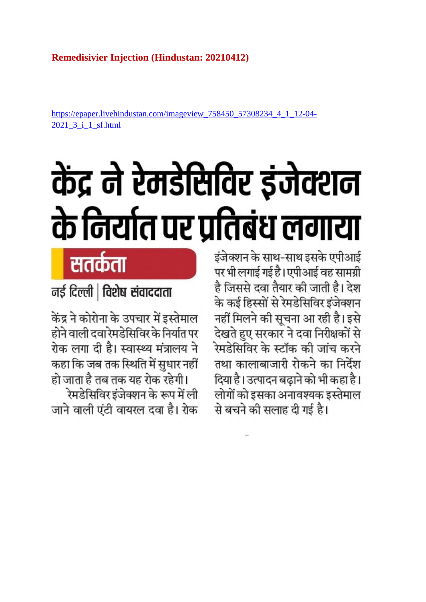# **Remedisivier Injection (Hindustan: 20210412)**

https://epaper.livehindustan.com/imageview\_758450\_57308234\_4\_1\_12-04- 2021\_3\_i\_1\_sf.html

# केंद्र ने रेमडेसिविर इंजेक्शन के निर्यात पर प्रतिबंध लगाया

इंजेक्शन के साथ-साथ इसके एपीआई पर भी लगाई गई है। एपीआई वह सामग्री है जिससे दवा तैयार की जाती है। देश के कई हिस्सों से रेमडेसिविर इंजेक्शन नहीं मिलने की सूचना आ रही है। इसे देखते हुए सरकार ने दवा निरीक्षकों से रेमडेसिविर के स्टॉक की जांच करने तथा कालाबाजारी रोकने का निर्देश दिया है। उत्पादन बढ़ाने को भी कहा है। लोगों को इसका अनावश्यक इस्तेमाल से बचने की सलाह दी गई है।

सतर्कता

नई दिल्ली | विशेष संवाददाता

केंद्र ने कोरोना के उपचार में इस्तेमाल होने वाली दवा रेमडेसिविर के निर्यात पर रोक लगा दी है। स्वास्थ्य मंत्रालय ने कहा कि जब तक स्थिति में सुधार नहीं हो जाता है तब तक यह रोक रहेगी।

रेमडेसिविर इंजेक्शन के रूप में ली जाने वाली एंटी वायरल दवा है। रोक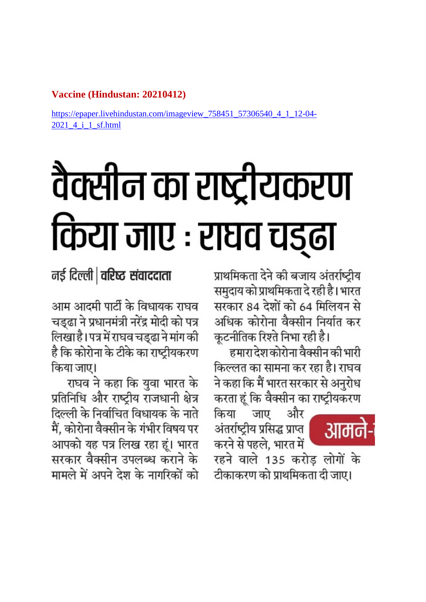# Vaccine (Hindustan: 20210412)

https://epaper.livehindustan.com/imageview\_758451\_57306540\_4\_1 2021 4 i 1 sf.html

# वैक्सीन का राष्ट्रीयकरण किया जाए : राघव चड़ढा

नई दिल्ली | वरिष्ट संवाददाता

आम आदमी पार्टी के विधायक राघव चड्ढा ने प्रधानमंत्री नरेंद्र मोदी को पत्र लिखा है। पत्र में राघव चड्ढा ने मांग की है कि कोरोना के टीके का राष्ट्रीयकरण किया जाए।

राघव ने कहा कि युवा भारत के प्रतिनिधि और राष्ट्रीय राजधानी क्षेत्र दिल्ली के निर्वाचित विधायक के नाते मैं, कोरोना वैक्सीन के गंभीर विषय पर आपको यह पत्र लिख रहा हूं। भारत सरकार वैक्सीन उपलब्ध कराने के मामले में अपने देश के नागरिकों को

प्राथमिकता देने की बजाय अंतर्राष्ट्रीय समुदाय को प्राथमिकता दे रही है। भारत सरकार 84 देशों को 64 मिलियन से अधिक कोरोना वैक्सीन निर्यात कर कूटनीतिक रिश्ते निभा रही है।

हमारा देश कोरोना वैक्सीन की भारी किल्लत का सामना कर रहा है। राघव ने कहा कि मैं भारत सरकार से अनुरोध करता हूं कि वैक्सीन का राष्ट्रीयकरण

और जाए किया अंतर्राष्ट्रीय प्रसिद्ध प्राप्त करने से पहले, भारत में

रहने वाले 135 करोड़ लोगों के टीकाकरण को प्राथमिकता दी जाए।

आमने